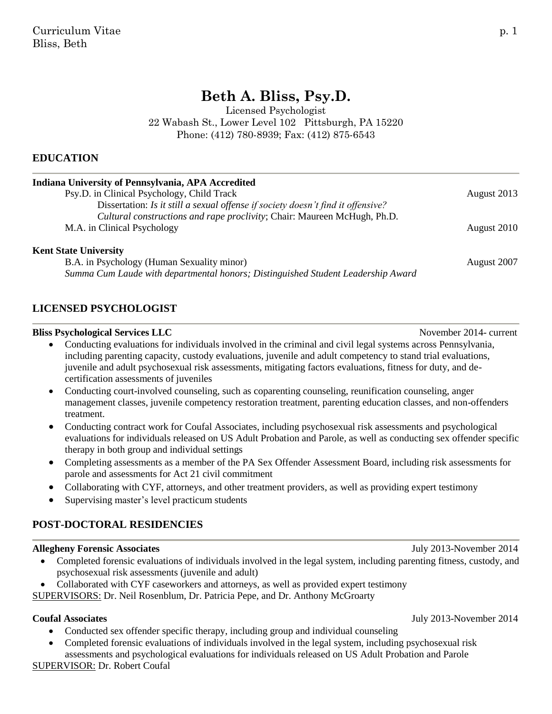# **Beth A. Bliss, Psy.D.**

Licensed Psychologist 22 Wabash St., Lower Level 102 Pittsburgh, PA 15220 Phone: (412) 780-8939; Fax: (412) 875-6543

#### **EDUCATION**

| Indiana University of Pennsylvania, APA Accredited                               |             |
|----------------------------------------------------------------------------------|-------------|
| Psy.D. in Clinical Psychology, Child Track                                       | August 2013 |
| Dissertation: Is it still a sexual offense if society doesn't find it offensive? |             |
| Cultural constructions and rape proclivity; Chair: Maureen McHugh, Ph.D.         |             |
| M.A. in Clinical Psychology                                                      | August 2010 |
| <b>Kent State University</b>                                                     |             |
| B.A. in Psychology (Human Sexuality minor)                                       | August 2007 |
| Summa Cum Laude with departmental honors; Distinguished Student Leadership Award |             |

#### **LICENSED PSYCHOLOGIST**

#### **Bliss Psychological Services LLC** November 2014- current

- Conducting evaluations for individuals involved in the criminal and civil legal systems across Pennsylvania, including parenting capacity, custody evaluations, juvenile and adult competency to stand trial evaluations, juvenile and adult psychosexual risk assessments, mitigating factors evaluations, fitness for duty, and decertification assessments of juveniles
- Conducting court-involved counseling, such as coparenting counseling, reunification counseling, anger management classes, juvenile competency restoration treatment, parenting education classes, and non-offenders treatment.
- Conducting contract work for Coufal Associates, including psychosexual risk assessments and psychological evaluations for individuals released on US Adult Probation and Parole, as well as conducting sex offender specific therapy in both group and individual settings
- Completing assessments as a member of the PA Sex Offender Assessment Board, including risk assessments for parole and assessments for Act 21 civil commitment
- Collaborating with CYF, attorneys, and other treatment providers, as well as providing expert testimony
- Supervising master's level practicum students

## **POST-DOCTORAL RESIDENCIES**

### **Allegheny Forensic Associates** July 2013-November 2014

- Completed forensic evaluations of individuals involved in the legal system, including parenting fitness, custody, and psychosexual risk assessments (juvenile and adult)
- Collaborated with CYF caseworkers and attorneys, as well as provided expert testimony

SUPERVISORS: Dr. Neil Rosenblum, Dr. Patricia Pepe, and Dr. Anthony McGroarty

- Conducted sex offender specific therapy, including group and individual counseling
- Completed forensic evaluations of individuals involved in the legal system, including psychosexual risk assessments and psychological evaluations for individuals released on US Adult Probation and Parole

SUPERVISOR: Dr. Robert Coufal

**Coufal Associates** July 2013-November 2014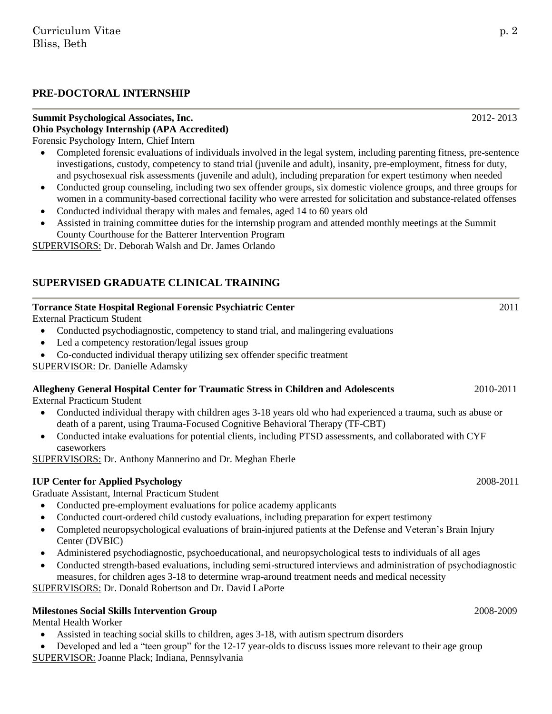#### **PRE-DOCTORAL INTERNSHIP**

## **Summit Psychological Associates, Inc.** 2012- 2013 **Ohio Psychology Internship (APA Accredited)**

Forensic Psychology Intern, Chief Intern

- Completed forensic evaluations of individuals involved in the legal system, including parenting fitness, pre-sentence investigations, custody, competency to stand trial (juvenile and adult), insanity, pre-employment, fitness for duty, and psychosexual risk assessments (juvenile and adult), including preparation for expert testimony when needed
- Conducted group counseling, including two sex offender groups, six domestic violence groups, and three groups for women in a community-based correctional facility who were arrested for solicitation and substance-related offenses
- Conducted individual therapy with males and females, aged 14 to 60 years old
- Assisted in training committee duties for the internship program and attended monthly meetings at the Summit County Courthouse for the Batterer Intervention Program

SUPERVISORS: Dr. Deborah Walsh and Dr. James Orlando

## **SUPERVISED GRADUATE CLINICAL TRAINING**

### **Torrance State Hospital Regional Forensic Psychiatric Center** 2011

External Practicum Student

- Conducted psychodiagnostic, competency to stand trial, and malingering evaluations
- Led a competency restoration/legal issues group
- Co-conducted individual therapy utilizing sex offender specific treatment

SUPERVISOR: Dr. Danielle Adamsky

### **Allegheny General Hospital Center for Traumatic Stress in Children and Adolescents** 2010-2011

External Practicum Student

- Conducted individual therapy with children ages 3-18 years old who had experienced a trauma, such as abuse or death of a parent, using Trauma-Focused Cognitive Behavioral Therapy (TF-CBT)
- Conducted intake evaluations for potential clients, including PTSD assessments, and collaborated with CYF caseworkers

SUPERVISORS: Dr. Anthony Mannerino and Dr. Meghan Eberle

### **IUP Center for Applied Psychology** 2008-2011

Graduate Assistant, Internal Practicum Student

- Conducted pre-employment evaluations for police academy applicants
- Conducted court-ordered child custody evaluations, including preparation for expert testimony
- Completed neuropsychological evaluations of brain-injured patients at the Defense and Veteran's Brain Injury Center (DVBIC)
- Administered psychodiagnostic, psychoeducational, and neuropsychological tests to individuals of all ages
- Conducted strength-based evaluations, including semi-structured interviews and administration of psychodiagnostic measures, for children ages 3-18 to determine wrap-around treatment needs and medical necessity SUPERVISORS: Dr. Donald Robertson and Dr. David LaPorte

### **Milestones Social Skills Intervention Group** 2008-2009 2008-2009

Mental Health Worker

- Assisted in teaching social skills to children, ages 3-18, with autism spectrum disorders
- Developed and led a "teen group" for the 12-17 year-olds to discuss issues more relevant to their age group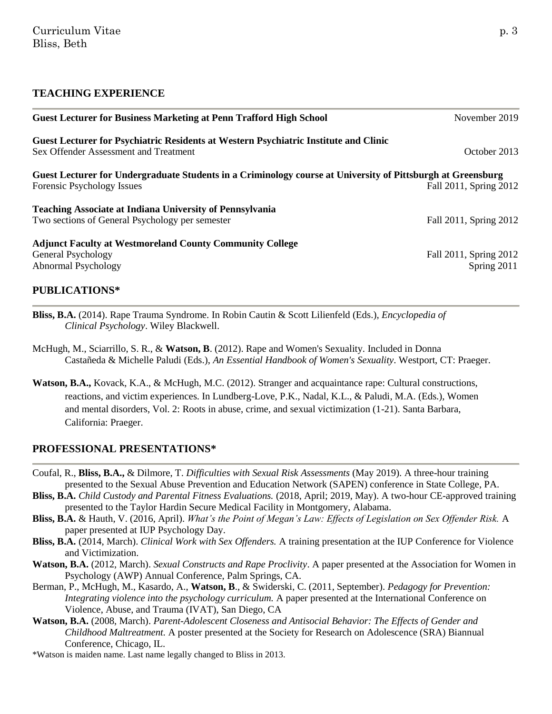#### **TEACHING EXPERIENCE**

| <b>Guest Lecturer for Business Marketing at Penn Trafford High School</b>                                                                 | November 2019                         |
|-------------------------------------------------------------------------------------------------------------------------------------------|---------------------------------------|
| <b>Guest Lecturer for Psychiatric Residents at Western Psychiatric Institute and Clinic</b><br>Sex Offender Assessment and Treatment      | October 2013                          |
| Guest Lecturer for Undergraduate Students in a Criminology course at University of Pittsburgh at Greensburg<br>Forensic Psychology Issues | Fall 2011, Spring 2012                |
| <b>Teaching Associate at Indiana University of Pennsylvania</b><br>Two sections of General Psychology per semester                        | Fall 2011, Spring 2012                |
| <b>Adjunct Faculty at Westmoreland County Community College</b><br>General Psychology<br><b>Abnormal Psychology</b>                       | Fall 2011, Spring 2012<br>Spring 2011 |
| <b>PUBLICATIONS*</b>                                                                                                                      |                                       |

- 
- **Bliss, B.A.** (2014). Rape Trauma Syndrome. In Robin Cautin & Scott Lilienfeld (Eds.), *Encyclopedia of Clinical Psychology*. Wiley Blackwell.
- McHugh, M., Sciarrillo, S. R., & **Watson, B**. (2012). Rape and Women's Sexuality. Included in Donna Castañeda & Michelle Paludi (Eds.), *An Essential Handbook of Women's Sexuality*. Westport, CT: Praeger.
- **Watson, B.A.,** Kovack, K.A., & McHugh, M.C. (2012). Stranger and acquaintance rape: Cultural constructions, reactions, and victim experiences. In Lundberg-Love, P.K., Nadal, K.L., & Paludi, M.A. (Eds.), Women and mental disorders, Vol. 2: Roots in abuse, crime, and sexual victimization (1-21). Santa Barbara, California: Praeger.

#### **PROFESSIONAL PRESENTATIONS\***

- Coufal, R., **Bliss, B.A.,** & Dilmore, T. *Difficulties with Sexual Risk Assessments* (May 2019)*.* A three-hour training presented to the Sexual Abuse Prevention and Education Network (SAPEN) conference in State College, PA.
- **Bliss, B.A.** *Child Custody and Parental Fitness Evaluations.* (2018, April; 2019, May). A two-hour CE-approved training presented to the Taylor Hardin Secure Medical Facility in Montgomery, Alabama.
- **Bliss, B.A.** & Hauth, V. (2016, April). *What's the Point of Megan's Law: Effects of Legislation on Sex Offender Risk.* A paper presented at IUP Psychology Day.
- **Bliss, B.A.** (2014, March). *Clinical Work with Sex Offenders.* A training presentation at the IUP Conference for Violence and Victimization.
- **Watson, B.A.** (2012, March). *Sexual Constructs and Rape Proclivity*. A paper presented at the Association for Women in Psychology (AWP) Annual Conference, Palm Springs, CA.
- Berman, P., McHugh, M., Kasardo, A., **Watson, B**., & Swiderski, C. (2011, September). *Pedagogy for Prevention: Integrating violence into the psychology curriculum.* A paper presented at the International Conference on Violence, Abuse, and Trauma (IVAT), San Diego, CA
- **Watson, B.A.** (2008, March). *Parent-Adolescent Closeness and Antisocial Behavior: The Effects of Gender and Childhood Maltreatment.* A poster presented at the Society for Research on Adolescence (SRA) Biannual Conference, Chicago, IL.

\*Watson is maiden name. Last name legally changed to Bliss in 2013.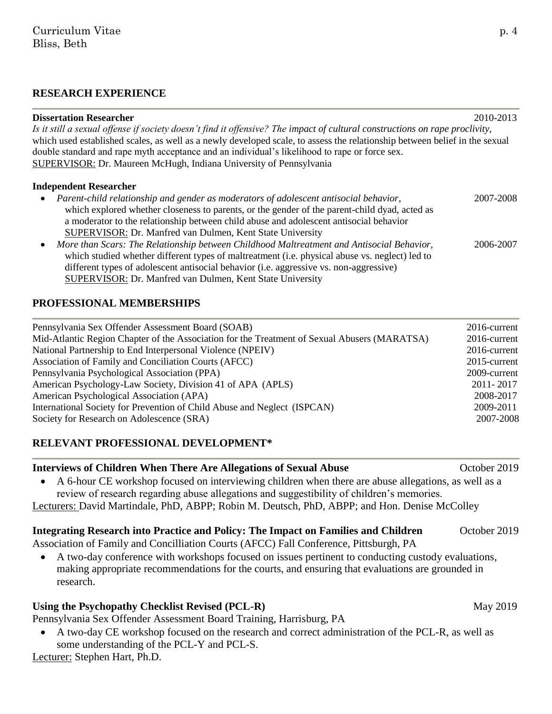#### **RESEARCH EXPERIENCE**

| <b>Dissertation Researcher</b><br>Is it still a sexual offense if society doesn't find it offensive? The impact of cultural constructions on rape proclivity,<br>which used established scales, as well as a newly developed scale, to assess the relationship between belief in the sexual<br>double standard and rape myth acceptance and an individual's likelihood to rape or force sex.<br><b>SUPERVISOR: Dr. Maureen McHugh, Indiana University of Pennsylvania</b> | 2010-2013 |
|---------------------------------------------------------------------------------------------------------------------------------------------------------------------------------------------------------------------------------------------------------------------------------------------------------------------------------------------------------------------------------------------------------------------------------------------------------------------------|-----------|
| <b>Independent Researcher</b>                                                                                                                                                                                                                                                                                                                                                                                                                                             |           |
| Parent-child relationship and gender as moderators of adolescent antisocial behavior,<br>$\bullet$<br>which explored whether closeness to parents, or the gender of the parent-child dyad, acted as<br>a moderator to the relationship between child abuse and adolescent antisocial behavior<br>SUPERVISOR: Dr. Manfred van Dulmen, Kent State University                                                                                                                | 2007-2008 |
| More than Scars: The Relationship between Childhood Maltreatment and Antisocial Behavior,<br>$\bullet$<br>which studied whether different types of maltreatment (i.e. physical abuse vs. neglect) led to<br>different types of adolescent antisocial behavior (i.e. aggressive vs. non-aggressive)<br>SUPERVISOR: Dr. Manfred van Dulmen, Kent State University                                                                                                           | 2006-2007 |

#### **PROFESSIONAL MEMBERSHIPS**

| Pennsylvania Sex Offender Assessment Board (SOAB)                                            | 2016-current |
|----------------------------------------------------------------------------------------------|--------------|
| Mid-Atlantic Region Chapter of the Association for the Treatment of Sexual Abusers (MARATSA) | 2016-current |
| National Partnership to End Interpersonal Violence (NPEIV)                                   | 2016-current |
| Association of Family and Conciliation Courts (AFCC)                                         | 2015-current |
| Pennsylvania Psychological Association (PPA)                                                 | 2009-current |
| American Psychology-Law Society, Division 41 of APA (APLS)                                   | 2011-2017    |
| American Psychological Association (APA)                                                     | 2008-2017    |
| International Society for Prevention of Child Abuse and Neglect (ISPCAN)                     | 2009-2011    |
| Society for Research on Adolescence (SRA)                                                    | 2007-2008    |

#### **RELEVANT PROFESSIONAL DEVELOPMENT\***

#### **Interviews of Children When There Are Allegations of Sexual Abuse Children When There Are Allegations of Sexual Abuse**

 A 6-hour CE workshop focused on interviewing children when there are abuse allegations, as well as a review of research regarding abuse allegations and suggestibility of children's memories.

Lecturers: David Martindale, PhD, ABPP; Robin M. Deutsch, PhD, ABPP; and Hon. Denise McColley

#### **Integrating Research into Practice and Policy: The Impact on Families and Children** *October 2019*

Association of Family and Concilliation Courts (AFCC) Fall Conference, Pittsburgh, PA

 A two-day conference with workshops focused on issues pertinent to conducting custody evaluations, making appropriate recommendations for the courts, and ensuring that evaluations are grounded in research.

#### Using the Psychopathy Checklist Revised (PCL-R) May 2019

Pennsylvania Sex Offender Assessment Board Training, Harrisburg, PA

 A two-day CE workshop focused on the research and correct administration of the PCL-R, as well as some understanding of the PCL-Y and PCL-S.

Lecturer: Stephen Hart, Ph.D.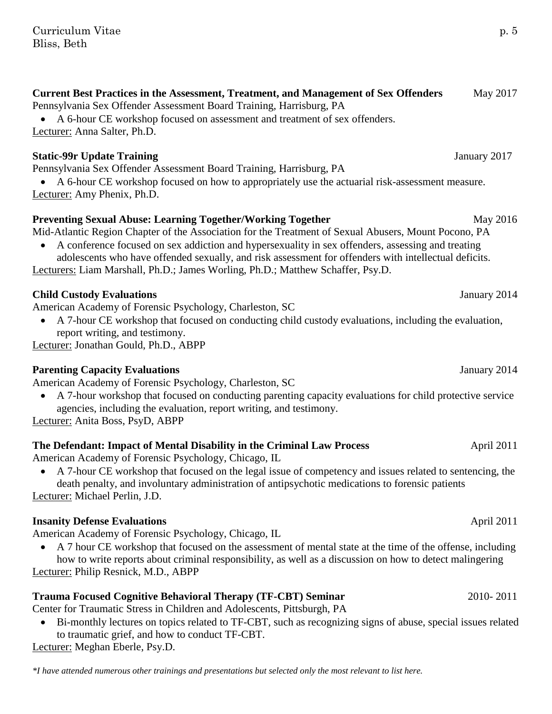### **Current Best Practices in the Assessment, Treatment, and Management of Sex Offenders** May 2017

Pennsylvania Sex Offender Assessment Board Training, Harrisburg, PA

 A 6-hour CE workshop focused on assessment and treatment of sex offenders. Lecturer: Anna Salter, Ph.D.

## **Static-99r Update Training Static-99r Update Training Static-99r Update Training Static-99r Update Training Static Association of the Update Static Association of the Update Static Association of the Update Static Associa**

Pennsylvania Sex Offender Assessment Board Training, Harrisburg, PA

 A 6-hour CE workshop focused on how to appropriately use the actuarial risk-assessment measure. Lecturer: Amy Phenix, Ph.D.

### **Preventing Sexual Abuse: Learning Together/Working Together May 2016** May 2016

Mid-Atlantic Region Chapter of the Association for the Treatment of Sexual Abusers, Mount Pocono, PA

 A conference focused on sex addiction and hypersexuality in sex offenders, assessing and treating adolescents who have offended sexually, and risk assessment for offenders with intellectual deficits.

Lecturers: Liam Marshall, Ph.D.; James Worling, Ph.D.; Matthew Schaffer, Psy.D.

## **Child Custody Evaluations** January 2014

American Academy of Forensic Psychology, Charleston, SC

 A 7-hour CE workshop that focused on conducting child custody evaluations, including the evaluation, report writing, and testimony.

Lecturer: Jonathan Gould, Ph.D., ABPP

### **Parenting Capacity Evaluations January 2014**

American Academy of Forensic Psychology, Charleston, SC

 A 7-hour workshop that focused on conducting parenting capacity evaluations for child protective service agencies, including the evaluation, report writing, and testimony.

Lecturer: Anita Boss, PsyD, ABPP

## **The Defendant: Impact of Mental Disability in the Criminal Law Process** April 2011

American Academy of Forensic Psychology, Chicago, IL

 A 7-hour CE workshop that focused on the legal issue of competency and issues related to sentencing, the death penalty, and involuntary administration of antipsychotic medications to forensic patients Lecturer: Michael Perlin, J.D.

## **Insanity Defense Evaluations April 2011**

American Academy of Forensic Psychology, Chicago, IL

 A 7 hour CE workshop that focused on the assessment of mental state at the time of the offense, including how to write reports about criminal responsibility, as well as a discussion on how to detect malingering Lecturer: Philip Resnick, M.D., ABPP

## **Trauma Focused Cognitive Behavioral Therapy (TF-CBT) Seminar** 2010- 2011

Center for Traumatic Stress in Children and Adolescents, Pittsburgh, PA

 Bi-monthly lectures on topics related to TF-CBT, such as recognizing signs of abuse, special issues related to traumatic grief, and how to conduct TF-CBT.

Lecturer: Meghan Eberle, Psy.D.